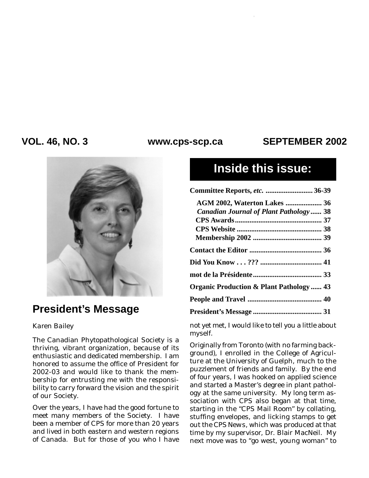### VOL. 46, NO. 3 www.cps-scp.ca SEPTEMBER 2002



## **President's Message**

### *Karen Bailey*

The Canadian Phytopathological Society is a thriving, vibrant organization, because of its enthusiastic and dedicated membership. I am honored to assume the office of President for 2002-03 and would like to thank the membership for entrusting me with the responsibility to carry forward the vision and the spirit of our Society.

Over the years, I have had the good fortune to meet many members of the Society. I have been a member of CPS for more than 20 years and lived in both eastern and western regions of Canada. But for those of you who I have

# **Inside this issue:**

| Committee Reports, etc.  36-39                     |  |
|----------------------------------------------------|--|
| AGM 2002, Waterton Lakes  36                       |  |
| <b>Canadian Journal of Plant Pathology 38</b>      |  |
|                                                    |  |
|                                                    |  |
|                                                    |  |
|                                                    |  |
|                                                    |  |
|                                                    |  |
| <b>Organic Production &amp; Plant Pathology 43</b> |  |
|                                                    |  |
|                                                    |  |
|                                                    |  |

not yet met, I would like to tell you a little about myself.

Originally from Toronto (with no farming background), I enrolled in the College of Agriculture at the University of Guelph, much to the puzzlement of friends and family. By the end of four years, I was hooked on applied science and started a Master's degree in plant pathology at the same university. My long term association with CPS also began at that time, starting in the "CPS Mail Room" by collating, stuffing envelopes, and licking stamps to get out the *CPS News*, which was produced at that time by my supervisor, Dr. Blair MacNeil. My next move was to "go west, young woman" to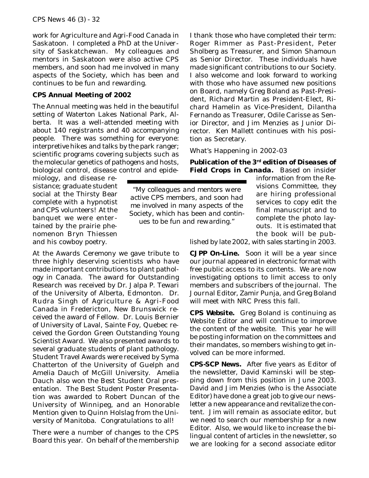work for Agriculture and Agri-Food Canada in Saskatoon. I completed a PhD at the University of Saskatchewan. My colleagues and mentors in Saskatoon were also active CPS members, and soon had me involved in many aspects of the Society, which has been and continues to be fun and rewarding.

#### **CPS Annual Meeting of 2002**

The Annual meeting was held in the beautiful setting of Waterton Lakes National Park, Alberta. It was a well-attended meeting with about 140 registrants and 40 accompanying people. There was something for everyone: interpretive hikes and talks by the park ranger; scientific programs covering subjects such as the molecular genetics of pathogens and hosts, biological control, disease control and epideI thank those who have completed their term: Roger Rimmer as Past-President, Peter Sholberg as Treasurer, and Simon Shamoun as Senior Director. These individuals have made significant contributions to our Society. I also welcome and look forward to working with those who have assumed new positions on Board, namely Greg Boland as Past-President, Richard Martin as President-Elect, Richard Hamelin as Vice-President, Dilantha Fernando as Treasurer, Odile Carisse as Senior Director, and Jim Menzies as Junior Director. Ken Mallett continues with his position as Secretary.

What's Happening in 2002-03

**Publication of the 3rd edition of** *Diseases of Field Crops in Canada***.** Based on insider

miology, and disease resistance; graduate student social at the Thirsty Bear complete with a hypnotist and CPS volunteers! At the banquet we were entertained by the prairie phenomenon Bryn Thiessen and his cowboy poetry.

At the Awards Ceremony we gave tribute to three highly deserving scientists who have made important contributions to plant pathology in Canada. The award for Outstanding Research was received by Dr. Jalpa P. Tewari of the University of Alberta, Edmonton. Dr. Rudra Singh of Agriculture & Agri-Food Canada in Fredericton, New Brunswick received the award of Fellow. Dr. Louis Bernier of University of Laval, Sainte Foy, Quebec received the Gordon Green Outstanding Young Scientist Award. We also presented awards to several graduate students of plant pathology. Student Travel Awards were received by Syma Chatterton of the University of Guelph and Amelia Dauch of McGill University. Amelia Dauch also won the Best Student Oral presentation. The Best Student Poster Presentation was awarded to Robert Duncan of the University of Winnipeg, and an Honorable Mention given to Quinn Holslag from the University of Manitoba. Congratulations to all!

There were a number of changes to the CPS Board this year. On behalf of the membership

*"My colleagues and mentors were active CPS members, and soon had me involved in many aspects of the Society, which has been and continues to be fun and rewarding."*

information from the Revisions Committee, they are hiring professional services to copy edit the final manuscript and to complete the photo layouts. It is estimated that the book will be pub-

lished by late 2002, with sales starting in 2003.

*CJPP* **On-Line.** Soon it will be a year since our journal appeared in electronic format with free public access to its contents. We are now investigating options to limit access to only members and subscribers of the journal. The Journal Editor, Zamir Punja, and Greg Boland will meet with NRC Press this fall.

**CPS Website.** Greg Boland is continuing as Website Editor and will continue to improve the content of the website. This year he will be posting information on the committees and their mandates, so members wishing to get involved can be more informed.

*CPS-SCP News***.** After five years as Editor of the newsletter, David Kaminski will be stepping down from this position in June 2003. David and Jim Menzies (who is the Associate Editor) have done a great job to give our newsletter a new appearance and revitalize the content. Jim will remain as associate editor, but we need to search our membership for a new Editor. Also, we would like to increase the bilingual content of articles in the newsletter, so we are looking for a second associate editor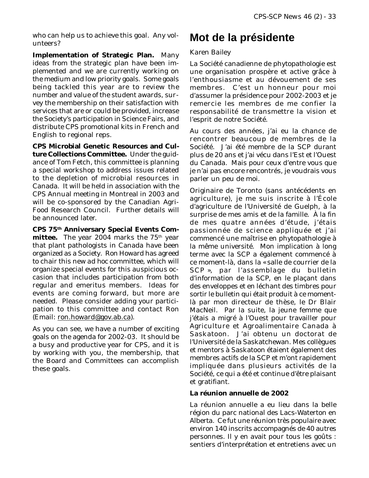who can help us to achieve this goal. Any volunteers?

**Implementation of Strategic Plan.** Many ideas from the strategic plan have been implemented and we are currently working on the medium and low priority goals. Some goals being tackled this year are to review the number and value of the student awards, survey the membership on their satisfaction with services that are or could be provided, increase the Society's participation in Science Fairs, and distribute CPS promotional kits in French and English to regional reps.

**CPS Microbial Genetic Resources and Culture Collections Committee.** Under the guidance of Tom Fetch, this committee is planning a special workshop to address issues related to the depletion of microbial resources in Canada. It will be held in association with the CPS Annual meeting in Montreal in 2003 and will be co-sponsored by the Canadian Agri-Food Research Council. Further details will be announced later.

**CPS 75th Anniversary Special Events Committee.** The year 2004 marks the 75<sup>th</sup> year that plant pathologists in Canada have been organized as a Society. Ron Howard has agreed to chair this new *ad hoc* committee, which will organize special events for this auspicious occasion that includes participation from both regular and emeritus members. Ideas for events are coming forward, but more are needed. Please consider adding your participation to this committee and contact Ron (Email: ron.howard@gov.ab.ca).

As you can see, we have a number of exciting goals on the agenda for 2002-03. It should be a busy and productive year for CPS, and it is by working with you, the membership, that the Board and Committees can accomplish these goals.

# **Mot de la présidente**

### *Karen Bailey*

La Société canadienne de phytopathologie est une organisation prospère et active grâce à l'enthousiasme et au dévouement de ses membres. C'est un honneur pour moi d'assumer la présidence pour 2002-2003 et je remercie les membres de me confier la responsabilité de transmettre la vision et l'esprit de notre Société.

Au cours des années, j'ai eu la chance de rencontrer beaucoup de membres de la Société. J'ai été membre de la SCP durant plus de 20 ans et j'ai vécu dans l'Est et l'Ouest du Canada. Mais pour ceux d'entre vous que je n'ai pas encore rencontrés, je voudrais vous parler un peu de moi.

Originaire de Toronto (sans antécédents en agriculture), je me suis inscrite à l'École d'agriculture de l'Université de Guelph, à la surprise de mes amis et de la famille. À la fin de mes quatre années d'étude, j'étais passionnée de science appliquée et j'ai commencé une maîtrise en phytopathologie à la même université. Mon implication à long terme avec la SCP a également commencé à ce moment-là, dans la « salle de courrier de la SCP », par l'assemblage du bulletin d'information de la SCP, en le plaçant dans des enveloppes et en léchant des timbres pour sortir le bulletin qui était produit à ce momentlà par mon directeur de thèse, le Dr Blair MacNeil. Par la suite, la jeune femme que j'étais a migré à l'Ouest pour travailler pour Agriculture et Agroalimentaire Canada à Saskatoon. J'ai obtenu un doctorat de l'Université de la Saskatchewan. Mes collègues et mentors à Saskatoon étaient également des membres actifs de la SCP et m'ont rapidement impliquée dans plusieurs activités de la Société, ce qui a été et continue d'être plaisant et gratifiant.

### **La réunion annuelle de 2002**

La réunion annuelle a eu lieu dans la belle région du parc national des Lacs-Waterton en Alberta. Ce fut une réunion très populaire avec environ 140 inscrits accompagnés de 40 autres personnes. Il y en avait pour tous les goûts : sentiers d'interprétation et entretiens avec un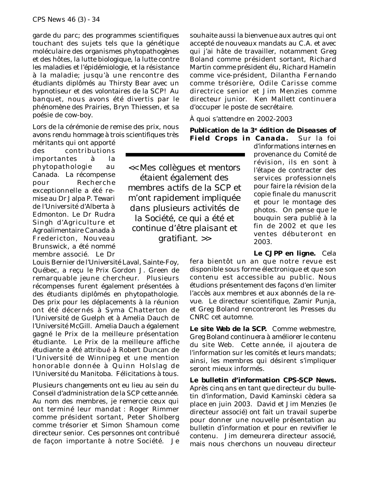garde du parc; des programmes scientifiques touchant des sujets tels que la génétique moléculaire des organismes phytopathogènes et des hôtes, la lutte biologique, la lutte contre les maladies et l'épidémiologie, et la résistance à la maladie; jusqu'à une rencontre des étudiants diplômés au Thirsty Bear avec un hypnotiseur et des volontaires de la SCP! Au banquet, nous avons été divertis par le phénomène des Prairies, Bryn Thiessen, et sa poésie de cow-boy.

Lors de la cérémonie de remise des prix, nous avons rendu hommage à trois scientifiques très

méritants qui ont apporté des contributions importantes à la phytopathologie au Canada. La récompense pour Recherche exceptionnelle a été remise au Dr Jalpa P. Tewari de l'Université d'Alberta à Edmonton. Le Dr Rudra Singh d'Agriculture et Agroalimentaire Canada à Fredericton, Nouveau Brunswick, a été nommé membre associé. Le Dr

Louis Bernier de l'Université Laval, Sainte-Foy, Québec, a reçu le Prix Gordon J. Green de remarquable jeune chercheur. Plusieurs récompenses furent également présentées à des étudiants diplômés en phytopathologie. Des prix pour les déplacements à la réunion ont été décernés à Syma Chatterton de l'Université de Guelph et à Amelia Dauch de l'Université McGill. Amelia Dauch a également gagné le Prix de la meilleure présentation étudiante. Le Prix de la meilleure affiche étudiante a été attribué à Robert Duncan de l'Université de Winnipeg et une mention honorable donnée à Quinn Holslag de l'Université du Manitoba. Félicitations à tous.

Plusieurs changements ont eu lieu au sein du Conseil d'administration de la SCP cette année. Au nom des membres, je remercie ceux qui ont terminé leur mandat : Roger Rimmer comme président sortant, Peter Sholberg comme trésorier et Simon Shamoun come directeur senior. Ces personnes ont contribué de façon importante à notre Société. Je

souhaite aussi la bienvenue aux autres qui ont accepté de nouveaux mandats au C.A. et avec qui j'ai hâte de travailler, notamment Greg Boland comme président sortant, Richard Martin comme président élu, Richard Hamelin comme vice-président, Dilantha Fernando comme trésorière, Odile Carisse comme directrice senior et Jim Menzies comme directeur junior. Ken Mallett continuera d'occuper le poste de secrétaire.

À quoi s'attendre en 2002-2003

**Publication de la 3e édition de** *Diseases of Field Crops in Canada***.** Sur la foi

*<< Mes collègues et mentors étaient également des membres actifs de la SCP et m'ont rapidement impliquée dans plusieurs activités de la Société, ce qui a été et continue d'être plaisant et gratifiant. >>*

d'informations internes en provenance du Comité de révision, ils en sont à l'étape de contracter des services professionnels pour faire la révision de la copie finale du manuscrit et pour le montage des photos. On pense que le bouquin sera publié à la fin de 2002 et que les ventes débuteront en 2003.

**Le** *CJPP* **en ligne.** Cela fera bientôt un an que notre revue est disponible sous forme électronique et que son contenu est accessible au public. Nous étudions présentement des façons d'en limiter l'accès aux membres et aux abonnés de la revue. Le directeur scientifique, Zamir Punja, et Greg Boland rencontreront les Presses du CNRC cet automne.

**Le site Web de la SCP.** Comme webmestre, Greg Boland continuera à améliorer le contenu du site Web. Cette année, il ajoutera de l'information sur les comités et leurs mandats; ainsi, les membres qui désirent s'impliquer seront mieux informés.

**Le bulletin d'information** *CPS-SCP News***.** Après cinq ans en tant que directeur du bulletin d'information, David Kaminski cèdera sa place en juin 2003. David et Jim Menzies (le directeur associé) ont fait un travail superbe pour donner une nouvelle présentation au bulletin d'information et pour en revivifier le contenu. Jim demeurera directeur associé, mais nous cherchons un nouveau directeur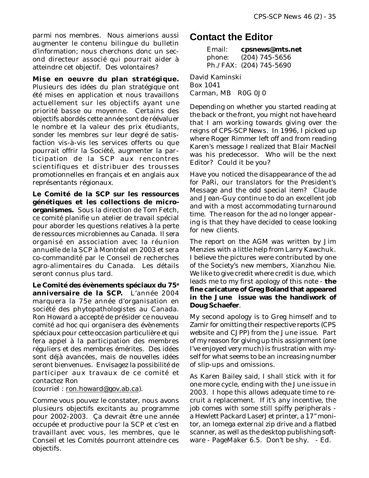parmi nos membres. Nous aimerions aussi augmenter le contenu bilingue du bulletin d'information; nous cherchons donc un second directeur associé qui pourrait aider à atteindre cet objectif. Des volontaires?

**Mise en oeuvre du plan stratégique.** Plusieurs des idées du plan stratégique ont été mises en application et nous travaillons actuellement sur les objectifs ayant une priorité basse ou moyenne. Certains des objectifs abordés cette année sont de réévaluer le nombre et la valeur des prix étudiants, sonder les membres sur leur degré de satisfaction vis-à-vis les services offerts ou que pourrait offrir la Société, augmenter la participation de la SCP aux rencontres scientifiques et distribuer des trousses promotionnelles en français et en anglais aux représentants régionaux.

**Le Comité de la SCP sur les ressources génétiques et les collections de microorganismes.** Sous la direction de Tom Fetch, ce comité planifie un atelier de travail spécial pour aborder les questions relatives à la perte de ressources microbiennes au Canada. Il sera organisé en association avec la réunion annuelle de la SCP à Montréal en 2003 et sera co-commandité par le Conseil de recherches agro-alimentaires du Canada. Les détails seront connus plus tard.

**Le Comité des évènements spéciaux du 75e anniversaire de la SCP.** L'année 2004 marquera la 75e année d'organisation en société des phytopathologistes au Canada. Ron Howard a accepté de présider ce nouveau comité *ad hoc* qui organisera des évènements spéciaux pour cette occasion particulière et qui fera appel à la participation des membres réguliers et des membres émérites. Des idées sont déjà avancées, mais de nouvelles idées seront bienvenues. Envisagez la possibilité de participer aux travaux de ce comité et contactez Ron

(courriel : ron.howard@gov.ab.ca).

Comme vous pouvez le constater, nous avons plusieurs objectifs excitants au programme pour 2002-2003. Ça devrait être une année occupée et productive pour la SCP et c'est en travaillant avec vous, les membres, que le Conseil et les Comités pourront atteindre ces objectifs.

### **Contact the Editor**

Email: **cpsnews@mts.net** phone: (204) 745-5656 Ph./FAX: (204) 745-5690

David Kaminski Box 1041 Carman, MB R0G 0J0

Depending on whether you started reading at the back or the front, you might not have heard that I am working towards giving over the reigns of *CPS-SCP News*. In 1996, I picked up where Roger Rimmer left off and from reading Karen's message I realized that Blair MacNeil was his predecessor. Who will be the next Editor? Could it be you?

Have you noticed the disappearance of the ad for PaRi, our translators for the President's Message and the odd special item? Claude and Jean-Guy continue to do an excellent job and with a most accommodating turnaround time. The reason for the ad no longer appearing is that they have decided to cease looking for *new* clients.

The report on the AGM was written by Jim Menzies with a little help from Larry Kawchuk. I believe the pictures were contributed by one of the Society's new members, Xianzhou Nie. We like to give credit where credit is due, which leads me to my first apology of this note - **the fine caricature of Greg Boland that appeared in the June issue was the handiwork of Doug Schaefer**.

My second apology is to Greg himself and to Zamir for omitting their respective reports (CPS website and *CJPP*) from the June issue. Part of my reason for giving up this assignment (one I've enjoyed very much) is frustration with myself for what seems to be an increasing number of slip-ups and omissions.

As Karen Bailey said, I shall stick with it for one more cycle, ending with the June issue in 2003. I hope this allows adequate time to recruit a replacement. If it's any incentive, the job comes with some still spiffy peripherals a Hewlett Packard LaserJet printer, a 17" monitor, an Iomega external zip drive and a flatbed scanner, as well as the desktop publishing software - PageMaker 6.5. Don't be shy. - *Ed.*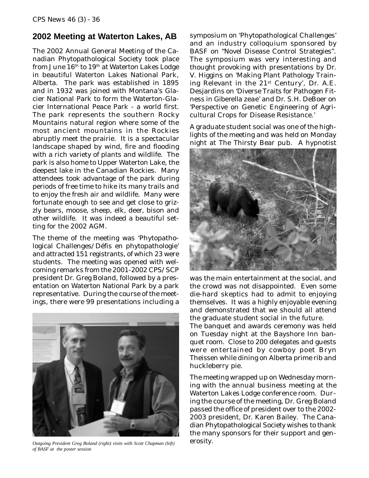### **2002 Meeting at Waterton Lakes, AB**

The 2002 Annual General Meeting of the Canadian Phytopathological Society took place from June 16<sup>th</sup> to 19<sup>th</sup> at Waterton Lakes Lodge in beautiful Waterton Lakes National Park, Alberta. The park was established in 1895 and in 1932 was joined with Montana's Glacier National Park to form the Waterton-Glacier International Peace Park - a world first. The park represents the southern Rocky Mountains natural region where some of the most ancient mountains in the Rockies abruptly meet the prairie. It is a spectacular landscape shaped by wind, fire and flooding with a rich variety of plants and wildlife. The park is also home to Upper Waterton Lake, the deepest lake in the Canadian Rockies. Many attendees took advantage of the park during periods of free time to hike its many trails and to enjoy the fresh air and wildlife. Many were fortunate enough to see and get close to grizzly bears, moose, sheep, elk, deer, bison and other wildlife. It was indeed a beautiful setting for the 2002 AGM.

The theme of the meeting was 'Phytopathological Challenges/Défis en phytopathologie' and attracted 151 registrants, of which 23 were students. The meeting was opened with welcoming remarks from the 2001-2002 CPS/SCP president Dr. Greg Boland, followed by a presentation on Waterton National Park by a park representative. During the course of the meetings, there were 99 presentations including a



*Outgoing President Greg Boland (right) visits with Scott Chapman (left)* erosity. *of BASF at the poster session*

symposium on 'Phytopathological Challenges' and an industry colloquium sponsored by BASF on "Novel Disease Control Strategies". The symposium was very interesting and thought provoking with presentations by Dr. V. Higgins on 'Making Plant Pathology Training Relevant in the  $21^{st}$  Century', Dr. A.E. Desjardins on 'Diverse Traits for Pathogen Fitness in *Giberella zeae*' and Dr. S.H. DeBoer on 'Perspective on Genetic Engineering of Agricultural Crops for Disease Resistance.'

A graduate student social was one of the highlights of the meeting and was held on Monday night at The Thirsty Bear pub. A hypnotist



was the main entertainment at the social, and the crowd was not disappointed. Even some die-hard skeptics had to admit to enjoying themselves. It was a highly enjoyable evening and demonstrated that we should all attend the graduate student social in the future. The banquet and awards ceremony was held

on Tuesday night at the Bayshore Inn banquet room. Close to 200 delegates and guests were entertained by cowboy poet Bryn Theissen while dining on Alberta prime rib and huckleberry pie.

The meeting wrapped up on Wednesday morning with the annual business meeting at the Waterton Lakes Lodge conference room. During the course of the meeting, Dr. Greg Boland passed the office of president over to the 2002- 2003 president, Dr. Karen Bailey. The Canadian Phytopathological Society wishes to thank the many sponsors for their support and gen-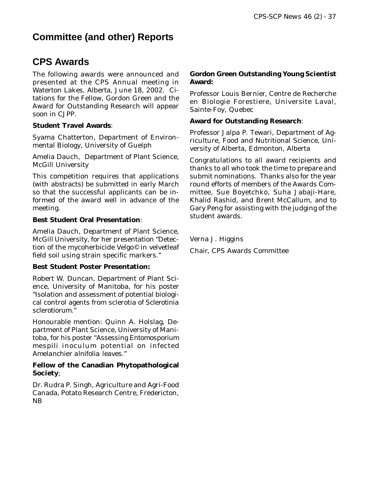## **Committee (and other) Reports**

### **CPS Awards**

The following awards were announced and presented at the CPS Annual meeting in Waterton Lakes, Alberta, June 18, 2002. Citations for the Fellow, Gordon Green and the Award for Outstanding Research will appear soon in *CJPP*.

### **Student Travel Awards**:

Syama Chatterton, Department of Environmental Biology, University of Guelph

Amelia Dauch, Department of Plant Science, McGill University

This competition requires that applications (with abstracts) be submitted in early March so that the successful applicants can be informed of the award well in advance of the meeting.

### **Best Student Oral Presentation**:

Amelia Dauch, Department of Plant Science, McGill University, for her presentation "Detection of the mycoherbicide Velgo© in velvetleaf field soil using strain specific markers."

### **Best Student Poster Presentation:**

Robert W. Duncan, Department of Plant Science, University of Manitoba, for his poster "Isolation and assessment of potential biological control agents from sclerotia of *Sclerotinia sclerotiorum*."

Honourable mention: Quinn A. Holslag, Department of Plant Science, University of Manitoba, for his poster "Assessing *Entomosporium mespili* inoculum potential on infected *Amelanchier alnifolia* leaves."

### **Fellow of the Canadian Phytopathological Society**;

Dr. Rudra P. Singh, Agriculture and Agri-Food Canada, Potato Research Centre, Fredericton, NB

### **Gordon Green Outstanding Young Scientist Award:**

Professor Louis Bernier, Centre de Recherche en Biologie Forestiere, Universite Laval, Sainte-Foy, Quebec

### **Award for Outstanding Research**:

Professor Jalpa P. Tewari, Department of Agriculture, Food and Nutritional Science, University of Alberta, Edmonton, Alberta

Congratulations to all award recipients and thanks to all who took the time to prepare and submit nominations. Thanks also for the year round efforts of members of the Awards Committee, Sue Boyetchko, Suha Jabaji-Hare, Khalid Rashid, and Brent McCallum, and to Gary Peng for assisting with the judging of the student awards.

Verna J. Higgins Chair, CPS Awards Committee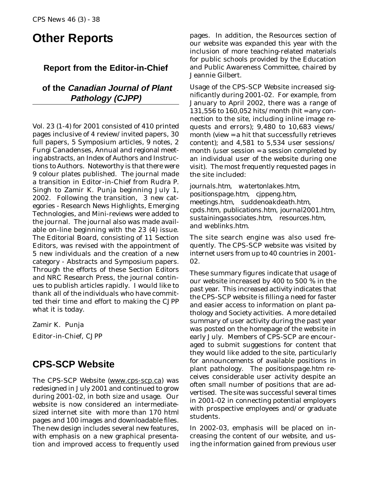# **Other Reports**

### **Report from the Editor-in-Chief**

### **of the Canadian Journal of Plant Pathology (CJPP)**

Vol. 23 (1-4) for 2001 consisted of 410 printed pages inclusive of 4 review/invited papers, 30 full papers, 5 Symposium articles, 9 notes, 2 Fungi Canadenses, Annual and regional meeting abstracts, an Index of Authors and Instructions to Authors. Noteworthy is that there were 9 colour plates published. The journal made a transition in Editor-in-Chief from Rudra P. Singh to Zamir K. Punja beginning July 1, 2002. Following the transition, 3 new categories - Research News Highlights, Emerging Technologies, and Mini-reviews were added to the journal. The journal also was made available on-line beginning with the 23 (4) issue. The Editorial Board, consisting of 11 Section Editors, was revised with the appointment of 5 new individuals and the creation of a new category - Abstracts and Symposium papers. Through the efforts of these Section Editors and NRC Research Press, the journal continues to publish articles rapidly. I would like to thank all of the individuals who have committed their time and effort to making the *CJPP* what it is today.

Zamir K. Punja Editor-in-Chief, *CJPP*

### **CPS-SCP Website**

The CPS-SCP Website (www.cps-scp.ca) was redesigned in July 2001 and continued to grow during 2001-02, in both size and usage. Our website is now considered an intermediatesized internet site with more than 170 html pages and 100 images and downloadable files. The new design includes several new features, with emphasis on a new graphical presentation and improved access to frequently used

pages. In addition, the Resources section of our website was expanded this year with the inclusion of more teaching-related materials for public schools provided by the Education and Public Awareness Committee, chaired by Jeannie Gilbert.

Usage of the CPS-SCP Website increased significantly during 2001-02. For example, from January to April 2002, there was a range of 131,556 to 160,052 hits/month (hit = any connection to the site, including inline image requests and errors); 9,480 to 10,683 views/ month (view = a hit that successfully retrieves content); and 4,581 to 5,534 user sessions/ month (user session = a session completed by an individual user of the website during one visit). The most frequently requested pages in the site included:

*journals.htm, watertonlakes.htm, positionspage.htm, cjppeng.htm, meetings.htm, suddenoakdeath.htm, cpds.htm, publications.htm, journal2001.htm, sustainingassociates.htm, resources.htm,* and *weblinks.htm*.

The site search engine was also used frequently. The CPS-SCP website was visited by internet users from up to 40 countries in 2001- 02.

These summary figures indicate that usage of our website increased by 400 to 500 % in the past year. This increased activity indicates that the CPS-SCP website is filling a need for faster and easier access to information on plant pathology and Society activities. A more detailed summary of user activity during the past year was posted on the homepage of the website in early July. Members of CPS-SCP are encouraged to submit suggestions for content that they would like added to the site, particularly for announcements of available positions in plant pathology. The *positionspage.htm* receives considerable user activity despite an often small number of positions that are advertised. The site was successful several times in 2001-02 in connecting potential employers with prospective employees and/or graduate students.

In 2002-03, emphasis will be placed on increasing the content of our website, and using the information gained from previous user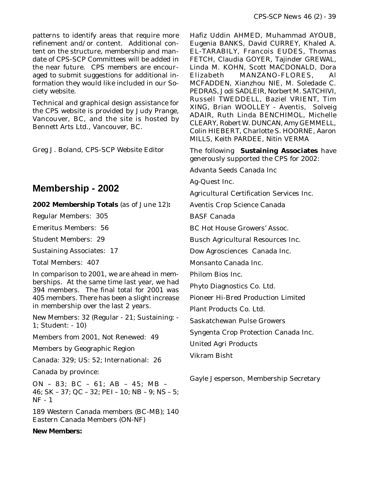patterns to identify areas that require more refinement and/or content. Additional content on the structure, membership and mandate of CPS-SCP Committees will be added in the near future. CPS members are encouraged to submit suggestions for additional information they would like included in our Society website.

Technical and graphical design assistance for the CPS website is provided by Judy Prange, Vancouver, BC, and the site is hosted by Bennett Arts Ltd., Vancouver, BC.

Greg J. Boland, CPS-SCP Website Editor

### **Membership - 2002**

#### **2002 Membership Totals** (as of June 12)**:**

Regular Members: 305

Emeritus Members: 56

Student Members: 29

Sustaining Associates: 17

Total Members: 407

In comparison to 2001, we are ahead in memberships. At the same time last year, we had 394 members. The final total for 2001 was 405 members. There has been a slight increase in membership over the last 2 years.

New Members: 32 (Regular - 21; Sustaining: - 1; Student: - 10)

Members from 2001, Not Renewed: 49

Members by Geographic Region

Canada: 329; US: 52; International: 26

Canada by province:

ON – 83; BC – 61; AB – 45; MB – 46; SK – 37; QC – 32; PEI – 10; NB – 9; NS – 5; NF - 1

189 Western Canada members (BC-MB); 140 Eastern Canada Members (ON-NF)

#### **New Members:**

Hafiz Uddin AHMED, Muhammad AYOUB, Eugenia BANKS, David CURREY, Khaled A. EL-TARABILY, Francois EUDES, Thomas FETCH, Claudia GOYER, Tajinder GREWAL, Linda M. KOHN, Scott MACDONALD, Dora Elizabeth MANZANO-FLORES, Al MCFADDEN, Xianzhou NIE, M. Soledade C. PEDRAS, Jodi SADLEIR, Norbert M. SATCHIVI, Russell TWEDDELL, Baziel VRIENT, Tim XING, Brian WOOLLEY - Aventis, Solveig ADAIR, Ruth Linda BENCHIMOL, Michelle CLEARY, Robert W. DUNCAN, Amy GEMMELL, Colin HIEBERT, Charlotte S. HOORNE, Aaron MILLS, Keith PARDEE, Nitin VERMA

The following **Sustaining Associates** have generously supported the CPS for 2002:

Advanta Seeds Canada Inc

Ag-Quest Inc.

Agricultural Certification Services Inc.

Aventis Crop Science Canada

BASF Canada

BC Hot House Growers' Assoc.

Busch Agricultural Resources Inc.

Dow Agrosciences Canada Inc.

Monsanto Canada Inc.

Philom Bios Inc.

Phyto Diagnostics Co. Ltd.

Pioneer Hi-Bred Production Limited

Plant Products Co. Ltd.

Saskatchewan Pulse Growers

Syngenta Crop Protection Canada Inc.

United Agri Products

Vikram Bisht

Gayle Jesperson, Membership Secretary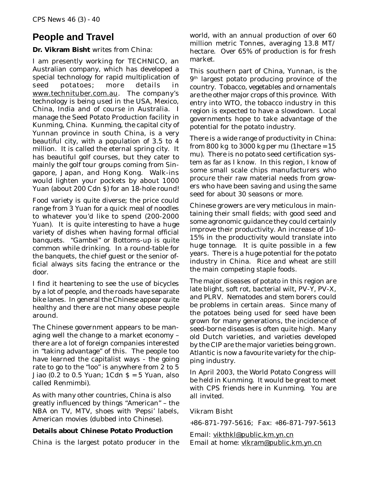### **People and Travel**

### **Dr. Vikram Bisht** writes from China:

I am presently working for TECHNICO, an Australian company, which has developed a special technology for rapid multiplication of seed potatoes; more details in www.technituber.com.au. The company's technology is being used in the USA, Mexico, China, India and of course in Australia. I manage the Seed Potato Production facility in Kunming, China. Kunming, the capital city of Yunnan province in south China, is a very beautiful city, with a population of 3.5 to 4 million. It is called the eternal spring city. It has beautiful golf courses, but they cater to mainly the golf tour groups coming from Singapore, Japan, and Hong Kong. Walk-ins would lighten your pockets by about 1000 Yuan (about 200 Cdn \$) for an 18-hole round!

Food variety is quite diverse; the price could range from 3 Yuan for a quick meal of noodles to whatever you'd like to spend (200-2000 Yuan). It is quite interesting to have a huge variety of dishes when having formal official banquets. "Gambei" or Bottoms-up is quite common while drinking. In a round-table for the banquets, the chief guest or the senior official always sits facing the entrance or the door.

I find it heartening to see the use of bicycles by a lot of people, and the roads have separate bike lanes. In general the Chinese appear quite healthy and there are not many obese people around.

The Chinese government appears to be managing well the change to a market economy – there are a lot of foreign companies interested in "taking advantage" of this. The people too have learned the capitalist ways - the going rate to go to the "loo" is anywhere from 2 to 5 Jiao (0.2 to 0.5 Yuan;  $1Cdn S = 5$  Yuan, also called Renmimbi).

As with many other countries, China is also greatly influenced by things "American" – the NBA on TV, MTV, shoes with 'Pepsi' labels, American movies (dubbed into Chinese).

### **Details about Chinese Potato Production**

China is the largest potato producer in the

world, with an annual production of over 60 million metric Tonnes, averaging 13.8 MT/ hectare. Over 65% of production is for fresh market.

This southern part of China, Yunnan, is the 9th largest potato producing province of the country. Tobacco, vegetables and ornamentals are the other major crops of this province. With entry into WTO, the tobacco industry in this region is expected to have a slowdown. Local governments hope to take advantage of the potential for the potato industry.

There is a wide range of productivity in China: from 800 kg to 3000 kg per mu (1 hectare  $= 15$ mu). There is no potato seed certification system as far as I know. In this region, I know of some small scale chips manufacturers who procure their raw material needs from growers who have been saving and using the same seed for about 30 seasons or more.

Chinese growers are very meticulous in maintaining their small fields; with good seed and some agronomic guidance they could certainly improve their productivity. An increase of 10- 15% in the productivity would translate into huge tonnage. It is quite possible in a few years. There is a huge potential for the potato industry in China. Rice and wheat are still the main competing staple foods.

The major diseases of potato in this region are late blight, soft rot, bacterial wilt, PV-Y, PV-X, and PLRV. Nematodes and stem borers could be problems in certain areas. Since many of the potatoes being used for seed have been grown for many generations, the incidence of seed-borne diseases is often quite high. Many old Dutch varieties, and varieties developed by the CIP are the major varieties being grown. Atlantic is now a favourite variety for the chipping industry.

In April 2003, the World Potato Congress will be held in Kunming. It would be great to meet with CPS friends here in Kunming. You are all invited.

### Vikram Bisht

+86-871-797-5616; Fax: +86-871-797-5613

Email: vikthkl@public.km.yn.cn Email at home: vlkram@public.km.yn.cn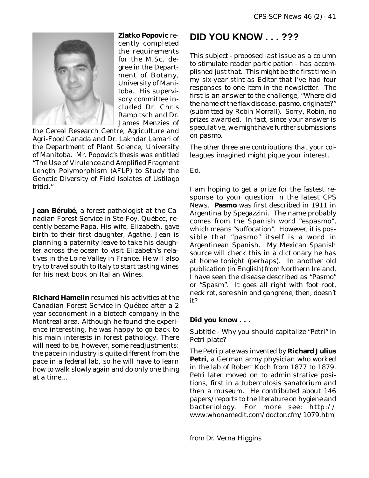

**Zlatko Popovic** recently completed the requirements for the M.Sc. degree in the Department of Botany, University of Manitoba. His supervisory committee included Dr. Chris Rampitsch and Dr. James Menzies of

the Cereal Research Centre, Agriculture and Agri-Food Canada and Dr. Lakhdar Lamari of the Department of Plant Science, University of Manitoba. Mr. Popovic's thesis was entitled "The Use of Virulence and Amplified Fragment Length Polymorphism (AFLP) to Study the Genetic Diversity of Field Isolates of *Ustilago tritici*."

**Jean Bérubé**, a forest pathologist at the Canadian Forest Service in Ste-Foy, Québec, recently became Papa. His wife, Elizabeth, gave birth to their first daughter, Agathe. Jean is planning a paternity leave to take his daughter across the ocean to visit Elizabeth's relatives in the Loire Valley in France. He will also try to travel south to Italy to start tasting wines for his next book on Italian Wines.

**Richard Hamelin** resumed his activities at the Canadian Forest Service in Québec after a 2 year secondment in a biotech company in the Montreal area. Although he found the experience interesting, he was happy to go back to his main interests in forest pathology. There will need to be, however, some readjustments: the pace in industry is quite different from the pace in a federal lab, so he will have to learn how to walk slowly again and do only one thing at a time...

### **DID YOU KNOW . . . ???**

*This subject - proposed last issue as a column to stimulate reader participation - has accomplished just that. This might be the first time in my six-year stint as Editor that I've had four responses to* one *item in the newsletter. The first is an answer to the challenge, "Where did the name of the flax disease, pasmo, originate?" (submitted by Robin Morrall). Sorry, Robin, no prizes awarded. In fact, since your answer is speculative, we might have further submissions on pasmo.*

*The other three are contributions that your colleagues imagined might pique your interest.*

Ed.

I am hoping to get a prize for the fastest response to your question in the latest *CPS News*. **Pasmo** was first described in 1911 in Argentina by Spegazzini. The name probably comes from the Spanish word "espasmo", which means "suffocation". However, it is possible that "pasmo" itself is a word in Argentinean Spanish. My Mexican Spanish source will check this in a dictionary he has at home tonight (perhaps). In another old publication (in English) from Northern Ireland, I have seen the disease described as "Pasmo" or "Spasm". It goes all right with foot root, neck rot, sore shin and gangrene, then, doesn't it?

### **Did you know . . .**

Subtitle - Why you should capitalize "Petri" in Petri plate?

The Petri plate was invented by **Richard Julius Petri**, a German army physician who worked in the lab of Robert Koch from 1877 to 1879. Petri later moved on to administrative positions, first in a tuberculosis sanatorium and then a museum. He contributed about 146 papers/reports to the literature on hygiene and bacteriology. For more see: http:// www.whonamedit.com/doctor.cfm/1079.html

*from Dr. Verna Higgins*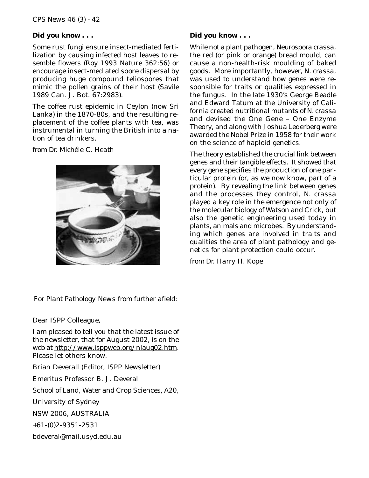#### **Did you know . . .**

Some rust fungi ensure insect-mediated fertilization by causing infected host leaves to resemble flowers (Roy 1993 Nature 362:56) or encourage insect-mediated spore dispersal by producing huge compound teliospores that mimic the pollen grains of their host (Savile 1989 Can. J. Bot. 67:2983).

The coffee rust epidemic in Ceylon (now Sri Lanka) in the 1870-80s, and the resulting replacement of the coffee plants with tea, was instrumental in turning the British into a nation of tea drinkers.

*from Dr. Michéle C. Heath*



### **Did you know . . .**

While not a plant pathogen, *Neurospora crassa*, the red (or pink or orange) bread mould, can cause a non-health-risk moulding of baked goods. More importantly, however, *N. crassa*, was used to understand how genes were responsible for traits or qualities expressed in the fungus. In the late 1930's George Beadle and Edward Tatum at the University of California created nutritional mutants of *N. crassa* and devised the One Gene – One Enzyme Theory, and along with Joshua Lederberg were awarded the Nobel Prize in 1958 for their work on the science of haploid genetics.

The theory established the crucial link between genes and their tangible effects. It showed that every gene specifies the production of one particular protein (or, as we now know, part of a protein). By revealing the link between genes and the processes they control, *N. crassa* played a key role in the emergence not only of the molecular biology of Watson and Crick, but also the genetic engineering used today in plants, animals and microbes. By understanding which genes are involved in traits and qualities the area of plant pathology and genetics for plant protection could occur.

*from Dr. Harry H. Kope*

### *For Plant Pathology News from further afield:*

Dear ISPP Colleague,

I am pleased to tell you that the latest issue of the newsletter, that for August 2002, is on the web at http://www.isppweb.org/nlaug02.htm. Please let others know.

Brian Deverall (Editor, ISPP Newsletter) Emeritus Professor B. J. Deverall School of Land, Water and Crop Sciences, A20, University of Sydney

NSW 2006, AUSTRALIA

+61-(0)2-9351-2531

bdeveral@mail.usyd.edu.au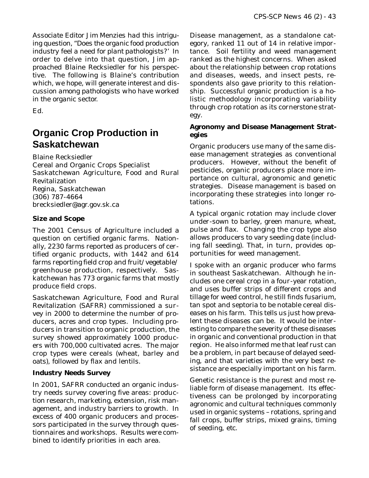*Associate Editor Jim Menzies had this intriguing question, "Does the organic food production industry feel a need for plant pathologists?' In order to delve into that question, Jim approached Blaine Recksiedler for his perspective. The following is Blaine's contribution which, we hope, will generate interest and discussion among pathologists who have worked in the organic sector.*

Ed.

### **Organic Crop Production in Saskatchewan**

Blaine Recksiedler

Cereal and Organic Crops Specialist Saskatchewan Agriculture, Food and Rural Revitalization Regina, Saskatchewan (306) 787-4664 brecksiedler@agr.gov.sk.ca

### **Size and Scope**

The 2001 Census of Agriculture included a question on certified organic farms. Nationally, 2230 farms reported as producers of certified organic products, with 1442 and 614 farms reporting field crop and fruit/vegetable/ greenhouse production, respectively. Saskatchewan has 773 organic farms that mostly produce field crops.

Saskatchewan Agriculture, Food and Rural Revitalization (SAFRR) commissioned a survey in 2000 to determine the number of producers, acres and crop types. Including producers in transition to organic production, the survey showed approximately 1000 producers with 700,000 cultivated acres. The major crop types were cereals (wheat, barley and oats), followed by flax and lentils.

### **Industry Needs Survey**

In 2001, SAFRR conducted an organic industry needs survey covering five areas: production research, marketing, extension, risk management, and industry barriers to growth. In excess of 400 organic producers and processors participated in the survey through questionnaires and workshops. Results were combined to identify priorities in each area.

Disease management, as a standalone category, ranked 11 out of 14 in relative importance. Soil fertility and weed management ranked as the highest concerns. When asked about the relationship between crop rotations and diseases, weeds, and insect pests, respondents also gave priority to this relationship. Successful organic production is a holistic methodology incorporating variability through crop rotation as its cornerstone strategy.

### **Agronomy and Disease Management Strategies**

Organic producers use many of the same disease management strategies as conventional producers. However, without the benefit of pesticides, organic producers place more importance on cultural, agronomic and genetic strategies. Disease management is based on incorporating these strategies into longer rotations.

A typical organic rotation may include clover under-sown to barley, green manure, wheat, pulse and flax. Changing the crop type also allows producers to vary seeding date (including fall seeding). That, in turn, provides opportunities for weed management.

I spoke with an organic producer who farms in southeast Saskatchewan. Although he includes one cereal crop in a four-year rotation, and uses buffer strips of different crops and tillage for weed control, he still finds fusarium, tan spot and septoria to be notable cereal diseases on his farm. This tells us just how prevalent these diseases can be. It would be interesting to compare the severity of these diseases in organic and conventional production in that region. He also informed me that leaf rust can be a problem, in part because of delayed seeding, and that varieties with the very best resistance are especially important on his farm.

Genetic resistance is the purest and most reliable form of disease management. Its effectiveness can be prolonged by incorporating agronomic and cultural techniques commonly used in organic systems – rotations, spring and fall crops, buffer strips, mixed grains, timing of seeding, *etc.*